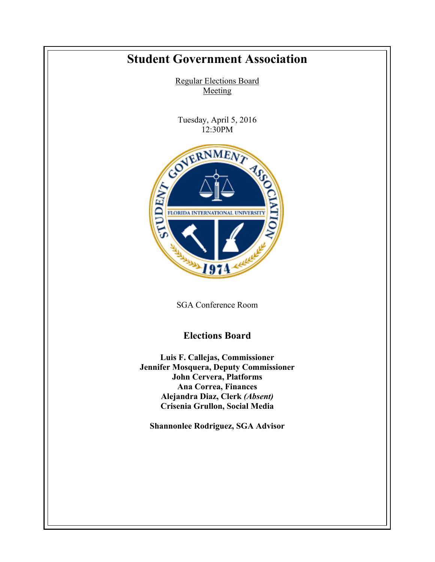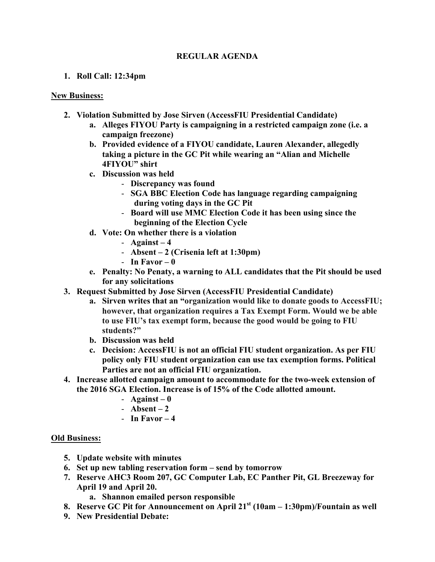## **REGULAR AGENDA**

## **1. Roll Call: 12:34pm**

## **New Business:**

- **2. Violation Submitted by Jose Sirven (AccessFIU Presidential Candidate)**
	- **a. Alleges FIYOU Party is campaigning in a restricted campaign zone (i.e. a campaign freezone)**
	- **b. Provided evidence of a FIYOU candidate, Lauren Alexander, allegedly taking a picture in the GC Pit while wearing an "Alian and Michelle 4FIYOU" shirt**
	- **c. Discussion was held**
		- **Discrepancy was found**
		- **SGA BBC Election Code has language regarding campaigning during voting days in the GC Pit**
		- **Board will use MMC Election Code it has been using since the beginning of the Election Cycle**
	- **d. Vote: On whether there is a violation**
		- Against  $-4$
		- **Absent – 2 (Crisenia left at 1:30pm)**
		- **In Favor – 0**
	- **e. Penalty: No Penaty, a warning to ALL candidates that the Pit should be used for any solicitations**
- **3. Request Submitted by Jose Sirven (AccessFIU Presidential Candidate)**
	- **a. Sirven writes that an "organization would like to donate goods to AccessFIU; however, that organization requires a Tax Exempt Form. Would we be able to use FIU's tax exempt form, because the good would be going to FIU students?"**
	- **b. Discussion was held**
	- **c. Decision: AccessFIU is not an official FIU student organization. As per FIU policy only FIU student organization can use tax exemption forms. Political Parties are not an official FIU organization.**
- **4. Increase allotted campaign amount to accommodate for the two-week extension of the 2016 SGA Election. Increase is of 15% of the Code allotted amount.** 
	- **Against – 0**
	- **Absent – 2**
	- **In Favor – 4**

## **Old Business:**

- **5. Update website with minutes**
- **6. Set up new tabling reservation form – send by tomorrow**
- **7. Reserve AHC3 Room 207, GC Computer Lab, EC Panther Pit, GL Breezeway for April 19 and April 20.**
	- **a. Shannon emailed person responsible**
- **8. Reserve GC Pit for Announcement on April 21st (10am – 1:30pm)/Fountain as well**
- **9. New Presidential Debate:**